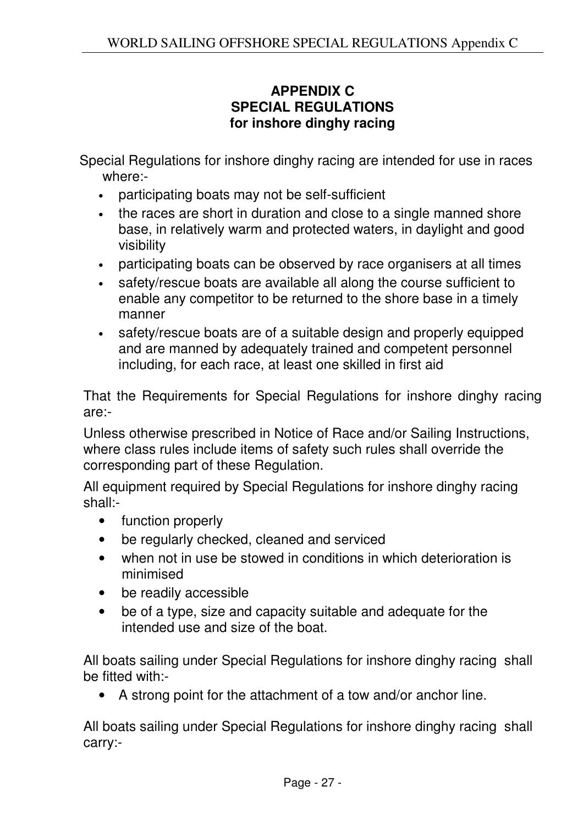## **APPENDIX C SPECIAL REGULATIONS for inshore dinghy racing**

Special Regulations for inshore dinghy racing are intended for use in races where:-

- participating boats may not be self-sufficient
- the races are short in duration and close to a single manned shore base, in relatively warm and protected waters, in daylight and good visibility
- participating boats can be observed by race organisers at all times
- safety/rescue boats are available all along the course sufficient to enable any competitor to be returned to the shore base in a timely manner
- safety/rescue boats are of a suitable design and properly equipped and are manned by adequately trained and competent personnel including, for each race, at least one skilled in first aid

That the Requirements for Special Regulations for inshore dinghy racing are:-

Unless otherwise prescribed in Notice of Race and/or Sailing Instructions, where class rules include items of safety such rules shall override the corresponding part of these Regulation.

All equipment required by Special Regulations for inshore dinghy racing shall:-

- function properly
- be regularly checked, cleaned and serviced
- when not in use be stowed in conditions in which deterioration is minimised
- be readily accessible
- be of a type, size and capacity suitable and adequate for the intended use and size of the boat.

All boats sailing under Special Regulations for inshore dinghy racing shall be fitted with:-

• A strong point for the attachment of a tow and/or anchor line.

All boats sailing under Special Regulations for inshore dinghy racing shall carry:-